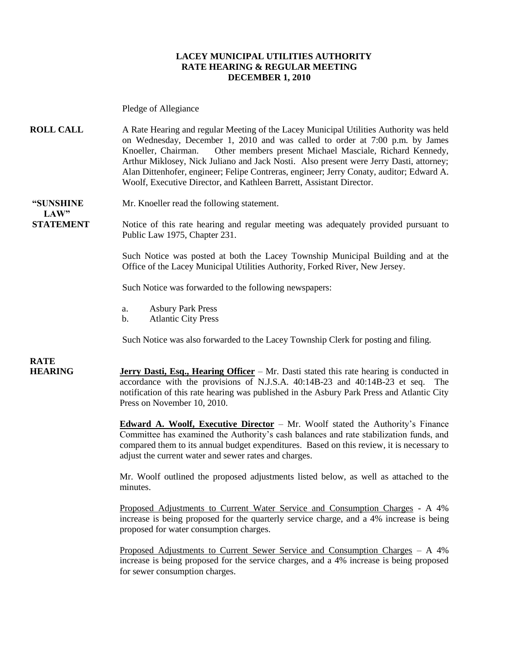#### **LACEY MUNICIPAL UTILITIES AUTHORITY RATE HEARING & REGULAR MEETING DECEMBER 1, 2010**

Pledge of Allegiance

**ROLL CALL** A Rate Hearing and regular Meeting of the Lacey Municipal Utilities Authority was held on Wednesday, December 1, 2010 and was called to order at 7:00 p.m. by James Knoeller, Chairman. Other members present Michael Masciale, Richard Kennedy, Arthur Miklosey, Nick Juliano and Jack Nosti. Also present were Jerry Dasti, attorney; Alan Dittenhofer, engineer; Felipe Contreras, engineer; Jerry Conaty, auditor; Edward A. Woolf, Executive Director, and Kathleen Barrett, Assistant Director.

**"SUNSHINE** Mr. Knoeller read the following statement.

**STATEMENT** Notice of this rate hearing and regular meeting was adequately provided pursuant to Public Law 1975, Chapter 231.

> Such Notice was posted at both the Lacey Township Municipal Building and at the Office of the Lacey Municipal Utilities Authority, Forked River, New Jersey.

Such Notice was forwarded to the following newspapers:

- a. Asbury Park Press
- b. Atlantic City Press

Such Notice was also forwarded to the Lacey Township Clerk for posting and filing.

**RATE** 

 $LAW"$ 

**HEARING Jerry Dasti, Esq., Hearing Officer** – Mr. Dasti stated this rate hearing is conducted in accordance with the provisions of N.J.S.A. 40:14B-23 and 40:14B-23 et seq. The notification of this rate hearing was published in the Asbury Park Press and Atlantic City Press on November 10, 2010.

> **Edward A. Woolf, Executive Director** – Mr. Woolf stated the Authority's Finance Committee has examined the Authority's cash balances and rate stabilization funds, and compared them to its annual budget expenditures. Based on this review, it is necessary to adjust the current water and sewer rates and charges.

> Mr. Woolf outlined the proposed adjustments listed below, as well as attached to the minutes.

> Proposed Adjustments to Current Water Service and Consumption Charges - A 4% increase is being proposed for the quarterly service charge, and a 4% increase is being proposed for water consumption charges.

> Proposed Adjustments to Current Sewer Service and Consumption Charges – A 4% increase is being proposed for the service charges, and a 4% increase is being proposed for sewer consumption charges.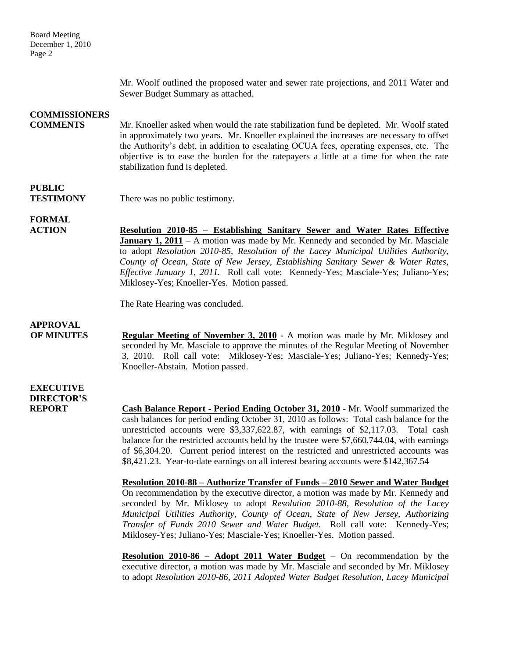Mr. Woolf outlined the proposed water and sewer rate projections, and 2011 Water and Sewer Budget Summary as attached.

### **COMMISSIONERS**

**COMMENTS** Mr. Knoeller asked when would the rate stabilization fund be depleted. Mr. Woolf stated in approximately two years. Mr. Knoeller explained the increases are necessary to offset the Authority's debt, in addition to escalating OCUA fees, operating expenses, etc. The objective is to ease the burden for the ratepayers a little at a time for when the rate stabilization fund is depleted.

### **PUBLIC**

**TESTIMONY** There was no public testimony.

**FORMAL**

**ACTION Resolution 2010-85 – Establishing Sanitary Sewer and Water Rates Effective January 1, 2011** – A motion was made by Mr. Kennedy and seconded by Mr. Masciale to adopt *Resolution 2010-85, Resolution of the Lacey Municipal Utilities Authority, County of Ocean, State of New Jersey, Establishing Sanitary Sewer & Water Rates, Effective January 1, 2011.* Roll call vote: Kennedy-Yes; Masciale-Yes; Juliano-Yes; Miklosey-Yes; Knoeller-Yes. Motion passed.

The Rate Hearing was concluded.

### **APPROVAL**

**OF MINUTES Regular Meeting of November 3, 2010 -** A motion was made by Mr. Miklosey and seconded by Mr. Masciale to approve the minutes of the Regular Meeting of November 3, 2010. Roll call vote: Miklosey-Yes; Masciale-Yes; Juliano-Yes; Kennedy-Yes; Knoeller-Abstain. Motion passed.

### **EXECUTIVE DIRECTOR'S**

**REPORT Cash Balance Report - Period Ending October 31, 2010** - Mr. Woolf summarized the cash balances for period ending October 31, 2010 as follows: Total cash balance for the unrestricted accounts were \$3,337,622.87, with earnings of \$2,117.03. Total cash balance for the restricted accounts held by the trustee were \$7,660,744.04, with earnings of \$6,304.20. Current period interest on the restricted and unrestricted accounts was \$8,421.23. Year-to-date earnings on all interest bearing accounts were \$142,367.54

> **Resolution 2010-88 – Authorize Transfer of Funds – 2010 Sewer and Water Budget** On recommendation by the executive director, a motion was made by Mr. Kennedy and seconded by Mr. Miklosey to adopt *Resolution 2010-88, Resolution of the Lacey Municipal Utilities Authority, County of Ocean, State of New Jersey, Authorizing Transfer of Funds 2010 Sewer and Water Budget.* Roll call vote: Kennedy-Yes; Miklosey-Yes; Juliano-Yes; Masciale-Yes; Knoeller-Yes. Motion passed.

> **Resolution 2010-86 – Adopt 2011 Water Budget** – On recommendation by the executive director, a motion was made by Mr. Masciale and seconded by Mr. Miklosey to adopt *Resolution 2010-86, 2011 Adopted Water Budget Resolution, Lacey Municipal*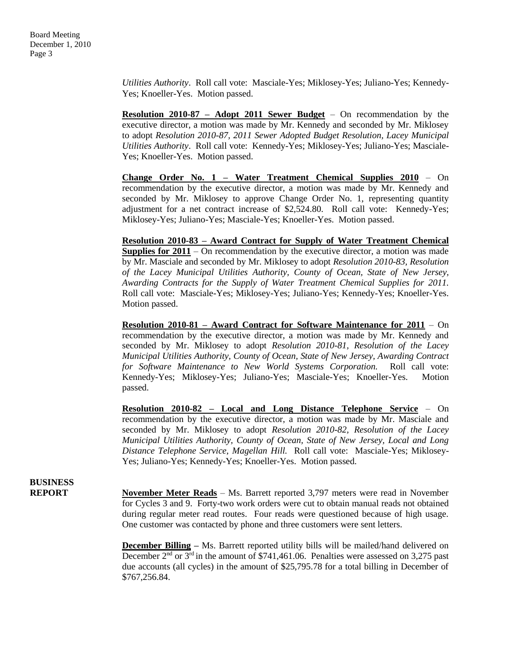*Utilities Authority*. Roll call vote: Masciale-Yes; Miklosey-Yes; Juliano-Yes; Kennedy-Yes; Knoeller-Yes. Motion passed.

**Resolution 2010-87 – Adopt 2011 Sewer Budget** – On recommendation by the executive director, a motion was made by Mr. Kennedy and seconded by Mr. Miklosey to adopt *Resolution 2010-87, 2011 Sewer Adopted Budget Resolution, Lacey Municipal Utilities Authority*. Roll call vote: Kennedy-Yes; Miklosey-Yes; Juliano-Yes; Masciale-Yes; Knoeller-Yes. Motion passed.

**Change Order No. 1 – Water Treatment Chemical Supplies 2010** – On recommendation by the executive director, a motion was made by Mr. Kennedy and seconded by Mr. Miklosey to approve Change Order No. 1, representing quantity adjustment for a net contract increase of \$2,524.80. Roll call vote: Kennedy-Yes; Miklosey-Yes; Juliano-Yes; Masciale-Yes; Knoeller-Yes. Motion passed.

**Resolution 2010-83 – Award Contract for Supply of Water Treatment Chemical Supplies for 2011** – On recommendation by the executive director, a motion was made by Mr. Masciale and seconded by Mr. Miklosey to adopt *Resolution 2010-83, Resolution of the Lacey Municipal Utilities Authority, County of Ocean, State of New Jersey, Awarding Contracts for the Supply of Water Treatment Chemical Supplies for 2011.* Roll call vote: Masciale-Yes; Miklosey-Yes; Juliano-Yes; Kennedy-Yes; Knoeller-Yes. Motion passed.

**Resolution 2010-81 – Award Contract for Software Maintenance for 2011** – On recommendation by the executive director, a motion was made by Mr. Kennedy and seconded by Mr. Miklosey to adopt *Resolution 2010-81, Resolution of the Lacey Municipal Utilities Authority, County of Ocean, State of New Jersey, Awarding Contract for Software Maintenance to New World Systems Corporation.* Roll call vote: Kennedy-Yes; Miklosey-Yes; Juliano-Yes; Masciale-Yes; Knoeller-Yes. Motion passed.

**Resolution 2010-82 – Local and Long Distance Telephone Service** – On recommendation by the executive director, a motion was made by Mr. Masciale and seconded by Mr. Miklosey to adopt *Resolution 2010-82, Resolution of the Lacey Municipal Utilities Authority, County of Ocean, State of New Jersey, Local and Long Distance Telephone Service, Magellan Hill.* Roll call vote: Masciale-Yes; Miklosey-Yes; Juliano-Yes; Kennedy-Yes; Knoeller-Yes. Motion passed.

# **BUSINESS**

**REPORT** November Meter Reads – Ms. Barrett reported 3,797 meters were read in November for Cycles 3 and 9. Forty-two work orders were cut to obtain manual reads not obtained during regular meter read routes. Four reads were questioned because of high usage. One customer was contacted by phone and three customers were sent letters.

> **December Billing** – Ms. Barrett reported utility bills will be mailed/hand delivered on December  $2<sup>nd</sup>$  or  $3<sup>rd</sup>$  in the amount of \$741,461.06. Penalties were assessed on 3,275 past due accounts (all cycles) in the amount of \$25,795.78 for a total billing in December of \$767,256.84.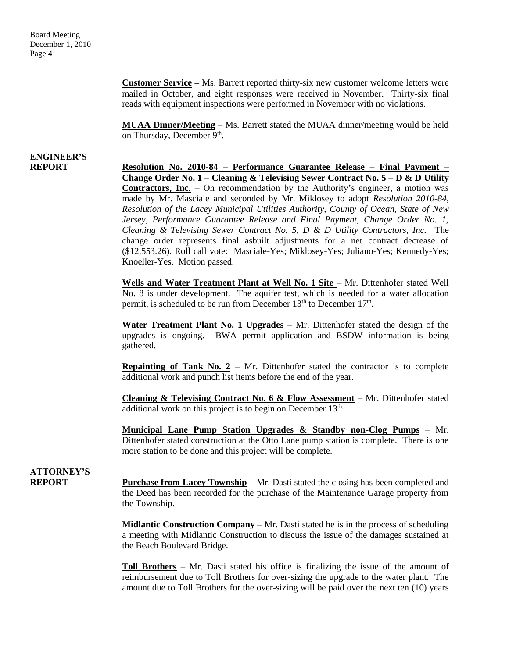Board Meeting December 1, 2010 Page 4

> **Customer Service –** Ms. Barrett reported thirty-six new customer welcome letters were mailed in October, and eight responses were received in November. Thirty-six final reads with equipment inspections were performed in November with no violations.

> **MUAA Dinner/Meeting** – Ms. Barrett stated the MUAA dinner/meeting would be held on Thursday, December 9<sup>th</sup>.

## **ENGINEER'S**

**REPORT Resolution No. 2010-84 – Performance Guarantee Release – Final Payment – Change Order No. 1 – Cleaning & Televising Sewer Contract No. 5 – D & D Utility Contractors, Inc.** – On recommendation by the Authority's engineer, a motion was made by Mr. Masciale and seconded by Mr. Miklosey to adopt *Resolution 2010-84, Resolution of the Lacey Municipal Utilities Authority, County of Ocean, State of New Jersey, Performance Guarantee Release and Final Payment, Change Order No. 1, Cleaning & Televising Sewer Contract No. 5, D & D Utility Contractors, Inc.* The change order represents final asbuilt adjustments for a net contract decrease of (\$12,553.26). Roll call vote: Masciale-Yes; Miklosey-Yes; Juliano-Yes; Kennedy-Yes; Knoeller-Yes. Motion passed.

> Wells and Water Treatment Plant at Well No. 1 Site - Mr. Dittenhofer stated Well No. 8 is under development. The aquifer test, which is needed for a water allocation permit, is scheduled to be run from December 13<sup>th</sup> to December 17<sup>th</sup>.

> **Water Treatment Plant No. 1 Upgrades** – Mr. Dittenhofer stated the design of the upgrades is ongoing. BWA permit application and BSDW information is being gathered.

> **Repainting of Tank No.**  $2 - Mr$ **.** Dittenhofer stated the contractor is to complete additional work and punch list items before the end of the year.

> **Cleaning & Televising Contract No. 6 & Flow Assessment** – Mr. Dittenhofer stated additional work on this project is to begin on December 13<sup>th.</sup>

> **Municipal Lane Pump Station Upgrades & Standby non-Clog Pumps** – Mr. Dittenhofer stated construction at the Otto Lane pump station is complete. There is one more station to be done and this project will be complete.

## **ATTORNEY'S**

**REPORT Purchase from Lacey Township** – Mr. Dasti stated the closing has been completed and the Deed has been recorded for the purchase of the Maintenance Garage property from the Township.

> **Midlantic Construction Company** – Mr. Dasti stated he is in the process of scheduling a meeting with Midlantic Construction to discuss the issue of the damages sustained at the Beach Boulevard Bridge.

> **Toll Brothers** – Mr. Dasti stated his office is finalizing the issue of the amount of reimbursement due to Toll Brothers for over-sizing the upgrade to the water plant. The amount due to Toll Brothers for the over-sizing will be paid over the next ten (10) years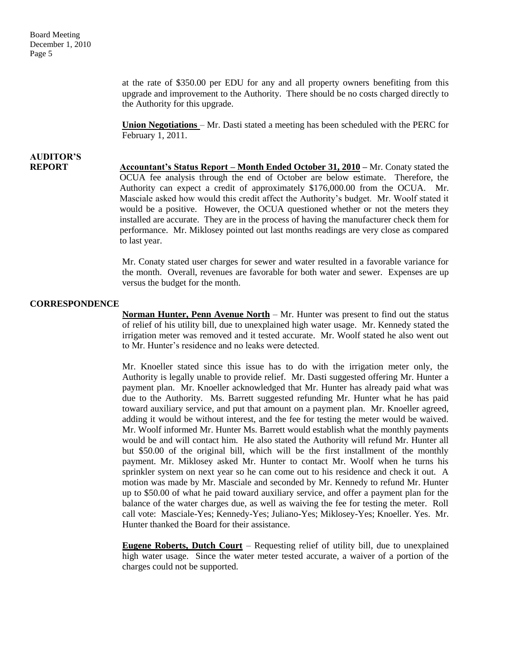at the rate of \$350.00 per EDU for any and all property owners benefiting from this upgrade and improvement to the Authority. There should be no costs charged directly to the Authority for this upgrade.

**Union Negotiations** – Mr. Dasti stated a meeting has been scheduled with the PERC for February 1, 2011.

# **AUDITOR'S**

**REPORT Accountant's Status Report – Month Ended October 31, 2010 –** Mr. Conaty stated the OCUA fee analysis through the end of October are below estimate. Therefore, the Authority can expect a credit of approximately \$176,000.00 from the OCUA. Mr. Masciale asked how would this credit affect the Authority's budget. Mr. Woolf stated it would be a positive. However, the OCUA questioned whether or not the meters they installed are accurate. They are in the process of having the manufacturer check them for performance. Mr. Miklosey pointed out last months readings are very close as compared to last year.

> Mr. Conaty stated user charges for sewer and water resulted in a favorable variance for the month. Overall, revenues are favorable for both water and sewer. Expenses are up versus the budget for the month.

#### **CORRESPONDENCE**

**Norman Hunter, Penn Avenue North** – Mr. Hunter was present to find out the status of relief of his utility bill, due to unexplained high water usage. Mr. Kennedy stated the irrigation meter was removed and it tested accurate. Mr. Woolf stated he also went out to Mr. Hunter's residence and no leaks were detected.

Mr. Knoeller stated since this issue has to do with the irrigation meter only, the Authority is legally unable to provide relief. Mr. Dasti suggested offering Mr. Hunter a payment plan. Mr. Knoeller acknowledged that Mr. Hunter has already paid what was due to the Authority. Ms. Barrett suggested refunding Mr. Hunter what he has paid toward auxiliary service, and put that amount on a payment plan. Mr. Knoeller agreed, adding it would be without interest, and the fee for testing the meter would be waived. Mr. Woolf informed Mr. Hunter Ms. Barrett would establish what the monthly payments would be and will contact him. He also stated the Authority will refund Mr. Hunter all but \$50.00 of the original bill, which will be the first installment of the monthly payment. Mr. Miklosey asked Mr. Hunter to contact Mr. Woolf when he turns his sprinkler system on next year so he can come out to his residence and check it out. A motion was made by Mr. Masciale and seconded by Mr. Kennedy to refund Mr. Hunter up to \$50.00 of what he paid toward auxiliary service, and offer a payment plan for the balance of the water charges due, as well as waiving the fee for testing the meter. Roll call vote: Masciale-Yes; Kennedy-Yes; Juliano-Yes; Miklosey-Yes; Knoeller. Yes. Mr. Hunter thanked the Board for their assistance.

**Eugene Roberts, Dutch Court** – Requesting relief of utility bill, due to unexplained high water usage. Since the water meter tested accurate, a waiver of a portion of the charges could not be supported.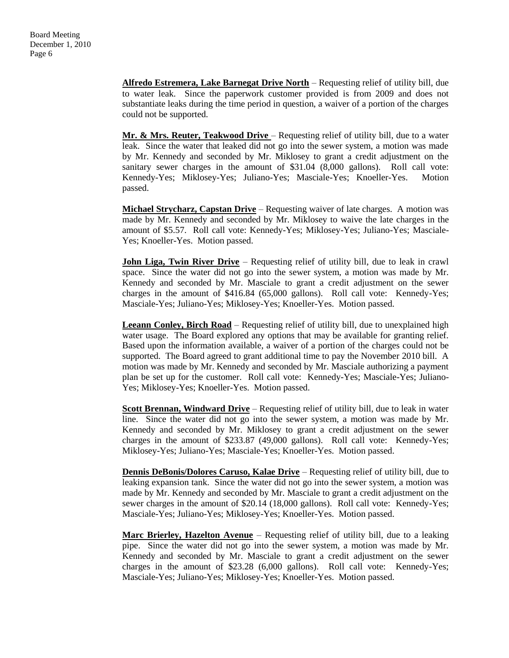**Alfredo Estremera, Lake Barnegat Drive North** – Requesting relief of utility bill, due to water leak. Since the paperwork customer provided is from 2009 and does not substantiate leaks during the time period in question, a waiver of a portion of the charges could not be supported.

Mr. & Mrs. Reuter, Teakwood Drive - Requesting relief of utility bill, due to a water leak. Since the water that leaked did not go into the sewer system, a motion was made by Mr. Kennedy and seconded by Mr. Miklosey to grant a credit adjustment on the sanitary sewer charges in the amount of \$31.04 (8,000 gallons). Roll call vote: Kennedy-Yes; Miklosey-Yes; Juliano-Yes; Masciale-Yes; Knoeller-Yes. Motion passed.

**Michael Strycharz, Capstan Drive** – Requesting waiver of late charges. A motion was made by Mr. Kennedy and seconded by Mr. Miklosey to waive the late charges in the amount of \$5.57. Roll call vote: Kennedy-Yes; Miklosey-Yes; Juliano-Yes; Masciale-Yes; Knoeller-Yes. Motion passed.

**John Liga, Twin River Drive** – Requesting relief of utility bill, due to leak in crawl space. Since the water did not go into the sewer system, a motion was made by Mr. Kennedy and seconded by Mr. Masciale to grant a credit adjustment on the sewer charges in the amount of \$416.84 (65,000 gallons). Roll call vote: Kennedy-Yes; Masciale-Yes; Juliano-Yes; Miklosey-Yes; Knoeller-Yes. Motion passed.

**Leeann Conley, Birch Road** – Requesting relief of utility bill, due to unexplained high water usage. The Board explored any options that may be available for granting relief. Based upon the information available, a waiver of a portion of the charges could not be supported. The Board agreed to grant additional time to pay the November 2010 bill. A motion was made by Mr. Kennedy and seconded by Mr. Masciale authorizing a payment plan be set up for the customer. Roll call vote: Kennedy-Yes; Masciale-Yes; Juliano-Yes; Miklosey-Yes; Knoeller-Yes. Motion passed.

**Scott Brennan, Windward Drive** – Requesting relief of utility bill, due to leak in water line. Since the water did not go into the sewer system, a motion was made by Mr. Kennedy and seconded by Mr. Miklosey to grant a credit adjustment on the sewer charges in the amount of \$233.87 (49,000 gallons). Roll call vote: Kennedy-Yes; Miklosey-Yes; Juliano-Yes; Masciale-Yes; Knoeller-Yes. Motion passed.

**Dennis DeBonis/Dolores Caruso, Kalae Drive** – Requesting relief of utility bill, due to leaking expansion tank. Since the water did not go into the sewer system, a motion was made by Mr. Kennedy and seconded by Mr. Masciale to grant a credit adjustment on the sewer charges in the amount of \$20.14 (18,000 gallons). Roll call vote: Kennedy-Yes; Masciale-Yes; Juliano-Yes; Miklosey-Yes; Knoeller-Yes. Motion passed.

**Marc Brierley, Hazelton Avenue** – Requesting relief of utility bill, due to a leaking pipe. Since the water did not go into the sewer system, a motion was made by Mr. Kennedy and seconded by Mr. Masciale to grant a credit adjustment on the sewer charges in the amount of \$23.28 (6,000 gallons). Roll call vote: Kennedy-Yes; Masciale-Yes; Juliano-Yes; Miklosey-Yes; Knoeller-Yes. Motion passed.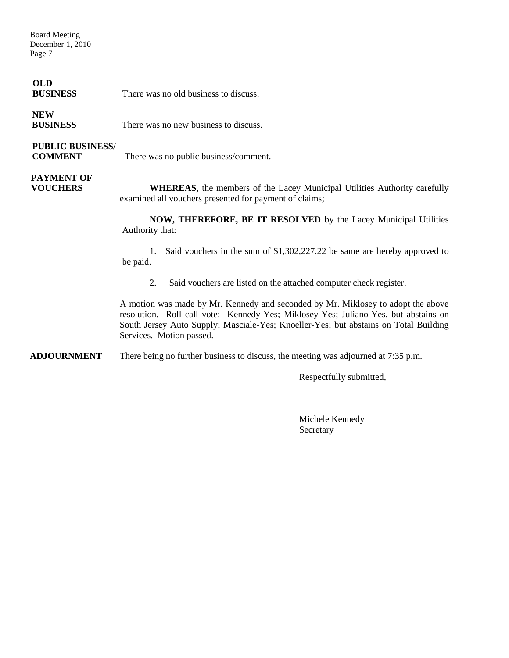Board Meeting December 1, 2010 Page 7

#### **OLD**

**BUSINESS** There was no old business to discuss.

#### **NEW**

**BUSINESS** There was no new business to discuss.

#### **PUBLIC BUSINESS/**

**COMMENT** There was no public business/comment.

## **PAYMENT OF**

**VOUCHERS** WHEREAS, the members of the Lacey Municipal Utilities Authority carefully examined all vouchers presented for payment of claims;

> **NOW, THEREFORE, BE IT RESOLVED** by the Lacey Municipal Utilities Authority that:

> 1. Said vouchers in the sum of \$1,302,227.22 be same are hereby approved to be paid.

2. Said vouchers are listed on the attached computer check register.

A motion was made by Mr. Kennedy and seconded by Mr. Miklosey to adopt the above resolution. Roll call vote: Kennedy-Yes; Miklosey-Yes; Juliano-Yes, but abstains on South Jersey Auto Supply; Masciale-Yes; Knoeller-Yes; but abstains on Total Building Services. Motion passed.

**ADJOURNMENT** There being no further business to discuss, the meeting was adjourned at 7:35 p.m.

Respectfully submitted,

Michele Kennedy Secretary